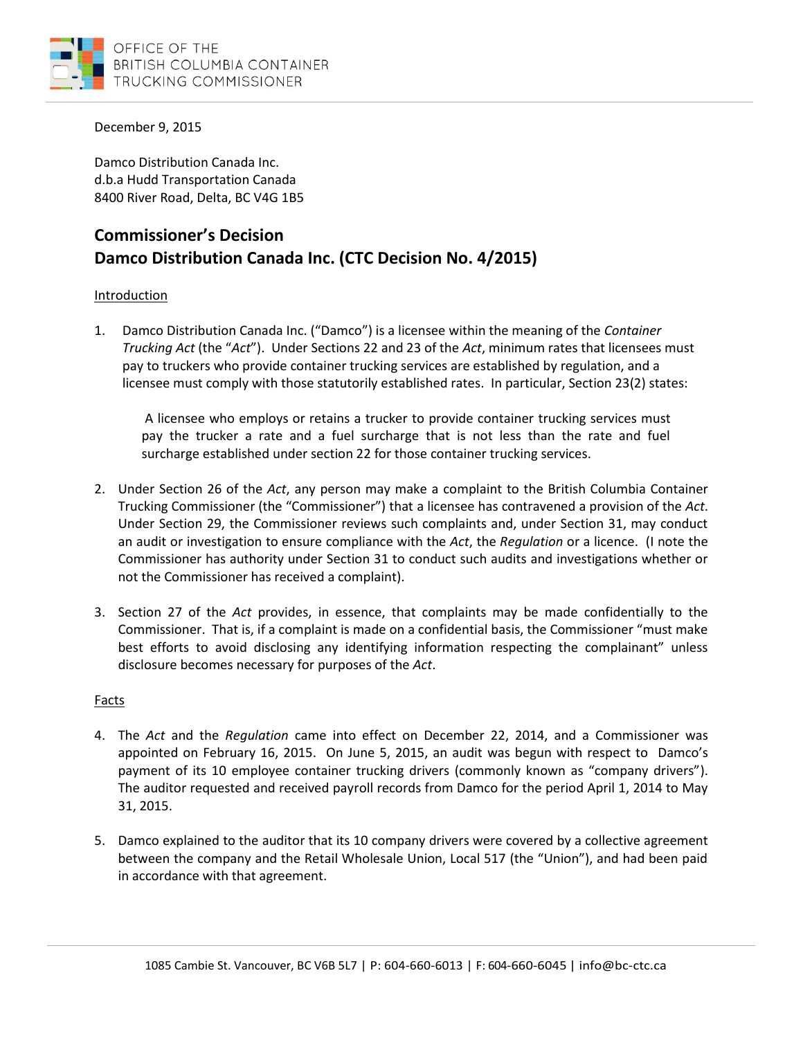

December 9, 2015

Damco Distribution Canada Inc. d.b.a Hudd Transportation Canada 8400 River Road, Delta, BC V4G 1B5

# **Commissioner's Decision Damco Distribution Canada Inc. (CTC Decision No. 4/2015)**

## **Introduction**

1. Damco Distribution Canada Inc. ("Damco") is a licensee within the meaning of the *Container Trucking Act* (the "*Act*"). Under Sections 22 and 23 of the *Act*, minimum rates that licensees must pay to truckers who provide container trucking services are established by regulation, and a licensee must comply with those statutorily established rates. In particular, Section 23(2) states:

A licensee who employs or retains a trucker to provide container trucking services must pay the trucker a rate and a fuel surcharge that is not less than the rate and fuel surcharge established under section 22 for those container trucking services.

- 2. Under Section 26 of the *Act*, any person may make a complaint to the British Columbia Container Trucking Commissioner (the "Commissioner") that a licensee has contravened a provision of the *Act*. Under Section 29, the Commissioner reviews such complaints and, under Section 31, may conduct an audit or investigation to ensure compliance with the *Act*, the *Regulation* or a licence. (I note the Commissioner has authority under Section 31 to conduct such audits and investigations whether or not the Commissioner has received a complaint).
- 3. Section 27 of the *Act* provides, in essence, that complaints may be made confidentially to the Commissioner. That is, if a complaint is made on a confidential basis, the Commissioner "must make best efforts to avoid disclosing any identifying information respecting the complainant" unless disclosure becomes necessary for purposes of the *Act*.

### Facts

- 4. The *Act* and the *Regulation* came into effect on December 22, 2014, and a Commissioner was appointed on February 16, 2015. On June 5, 2015, an audit was begun with respect to Damco's payment of its 10 employee container trucking drivers (commonly known as "company drivers"). The auditor requested and received payroll records from Damco for the period April 1, 2014 to May 31, 2015.
- 5. Damco explained to the auditor that its 10 company drivers were covered by a collective agreement between the company and the Retail Wholesale Union, Local 517 (the "Union"), and had been paid in accordance with that agreement.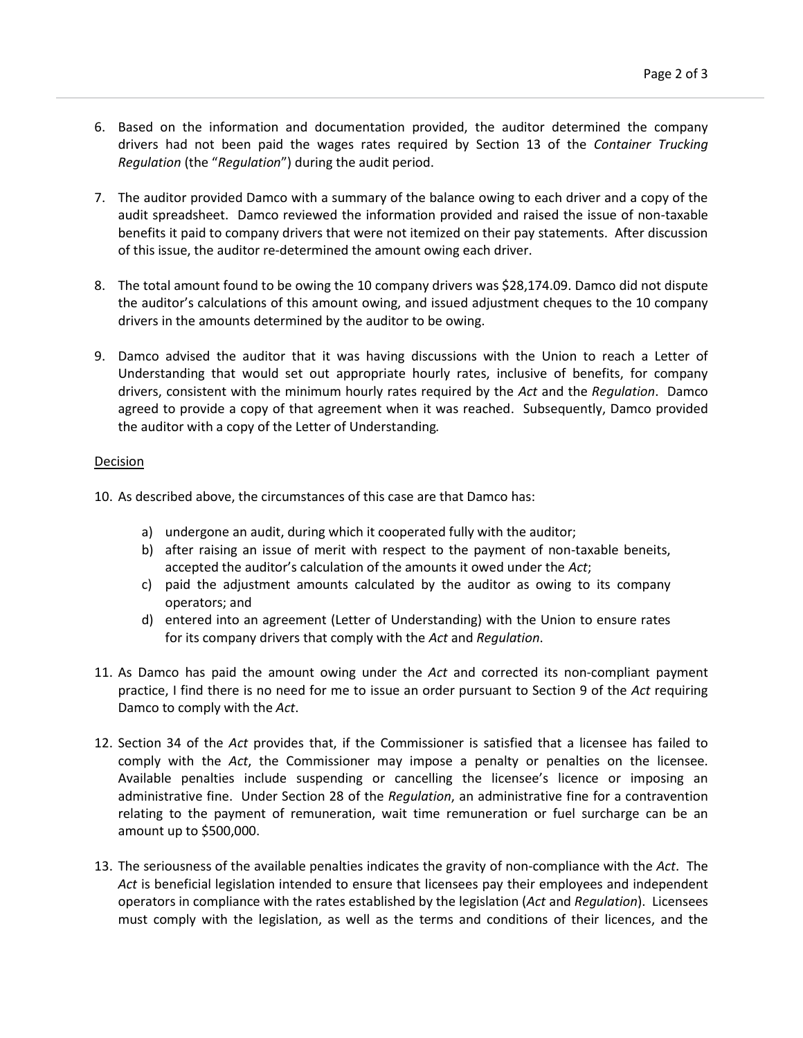- 6. Based on the information and documentation provided, the auditor determined the company drivers had not been paid the wages rates required by Section 13 of the *Container Trucking Regulation* (the "*Regulation*") during the audit period.
- 7. The auditor provided Damco with a summary of the balance owing to each driver and a copy of the audit spreadsheet. Damco reviewed the information provided and raised the issue of non-taxable benefits it paid to company drivers that were not itemized on their pay statements. After discussion of this issue, the auditor re-determined the amount owing each driver.
- 8. The total amount found to be owing the 10 company drivers was \$28,174.09. Damco did not dispute the auditor's calculations of this amount owing, and issued adjustment cheques to the 10 company drivers in the amounts determined by the auditor to be owing.
- 9. Damco advised the auditor that it was having discussions with the Union to reach a Letter of Understanding that would set out appropriate hourly rates, inclusive of benefits, for company drivers, consistent with the minimum hourly rates required by the *Act* and the *Regulation*. Damco agreed to provide a copy of that agreement when it was reached. Subsequently, Damco provided the auditor with a copy of the Letter of Understanding*.*

#### Decision

- 10. As described above, the circumstances of this case are that Damco has:
	- a) undergone an audit, during which it cooperated fully with the auditor;
	- b) after raising an issue of merit with respect to the payment of non-taxable beneits, accepted the auditor's calculation of the amounts it owed under the *Act*;
	- c) paid the adjustment amounts calculated by the auditor as owing to its company operators; and
	- d) entered into an agreement (Letter of Understanding) with the Union to ensure rates for its company drivers that comply with the *Act* and *Regulation*.
- 11. As Damco has paid the amount owing under the *Act* and corrected its non-compliant payment practice, I find there is no need for me to issue an order pursuant to Section 9 of the *Act* requiring Damco to comply with the *Act*.
- 12. Section 34 of the *Act* provides that, if the Commissioner is satisfied that a licensee has failed to comply with the *Act*, the Commissioner may impose a penalty or penalties on the licensee. Available penalties include suspending or cancelling the licensee's licence or imposing an administrative fine. Under Section 28 of the *Regulation*, an administrative fine for a contravention relating to the payment of remuneration, wait time remuneration or fuel surcharge can be an amount up to \$500,000.
- 13. The seriousness of the available penalties indicates the gravity of non-compliance with the *Act*. The *Act* is beneficial legislation intended to ensure that licensees pay their employees and independent operators in compliance with the rates established by the legislation (*Act* and *Regulation*). Licensees must comply with the legislation, as well as the terms and conditions of their licences, and the